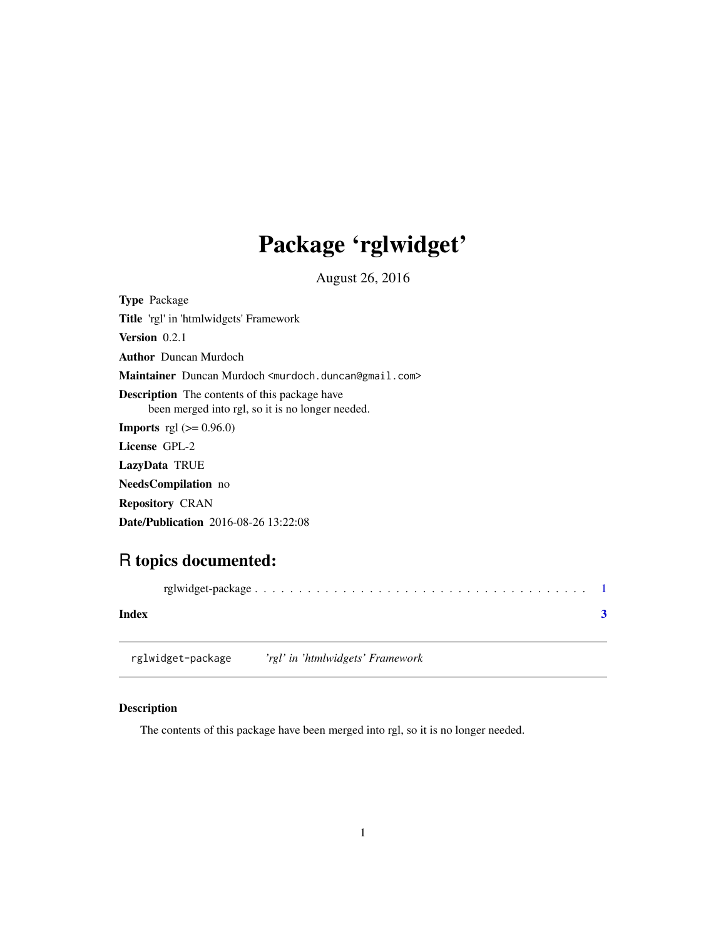## <span id="page-0-0"></span>Package 'rglwidget'

August 26, 2016

| <b>Type</b> Package                                                                                      |
|----------------------------------------------------------------------------------------------------------|
| <b>Title</b> 'rgl' in 'htmlwidgets' Framework                                                            |
| <b>Version</b> 0.2.1                                                                                     |
| <b>Author</b> Duncan Murdoch                                                                             |
| <b>Maintainer</b> Duncan Murdoch <murdoch.duncan@gmail.com></murdoch.duncan@gmail.com>                   |
| <b>Description</b> The contents of this package have<br>been merged into rgl, so it is no longer needed. |
| <b>Imports</b> rgl $(>= 0.96.0)$                                                                         |
| License GPL-2                                                                                            |
| LazyData TRUE                                                                                            |
| <b>NeedsCompilation</b> no                                                                               |
| <b>Repository CRAN</b>                                                                                   |

Date/Publication 2016-08-26 13:22:08

### R topics documented:

| Index |  |
|-------|--|
|       |  |

rglwidget-package *'rgl' in 'htmlwidgets' Framework*

#### Description

The contents of this package have been merged into rgl, so it is no longer needed.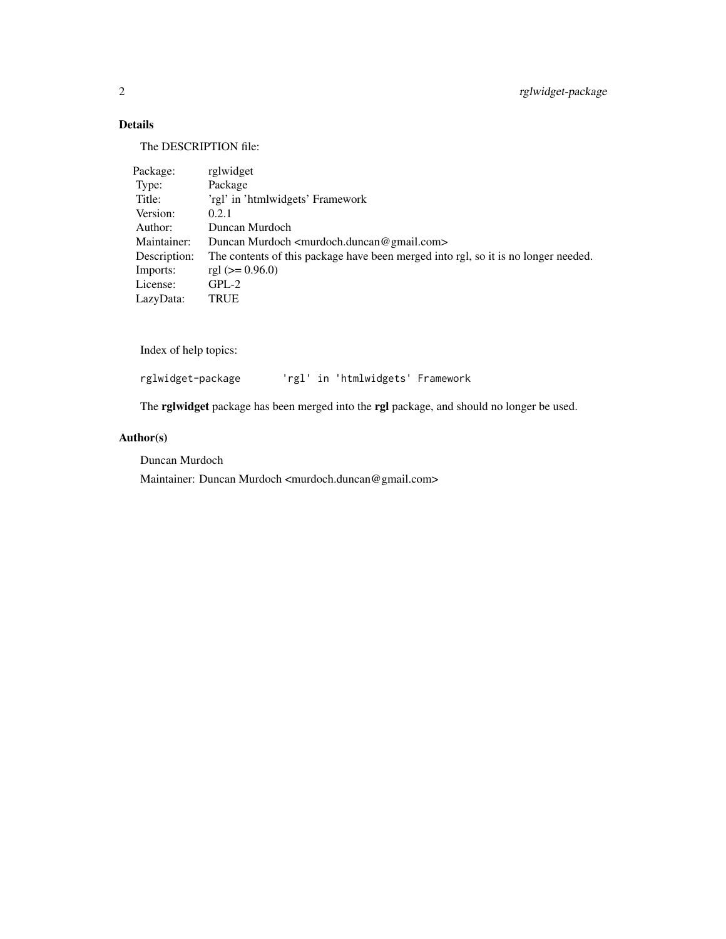#### Details

The DESCRIPTION file:

| Package:     | rglwidget                                                                          |
|--------------|------------------------------------------------------------------------------------|
| Type:        | Package                                                                            |
| Title:       | 'rgl' in 'htmlwidgets' Framework                                                   |
| Version:     | 0.2.1                                                                              |
| Author:      | Duncan Murdoch                                                                     |
| Maintainer:  | Duncan Murdoch <murdoch.duncan@gmail.com></murdoch.duncan@gmail.com>               |
| Description: | The contents of this package have been merged into rgl, so it is no longer needed. |
| Imports:     | rgl $(>= 0.96.0)$                                                                  |
| License:     | $GPL-2$                                                                            |
| LazyData:    | TRUE                                                                               |

Index of help topics:

rglwidget-package 'rgl' in 'htmlwidgets' Framework

The rglwidget package has been merged into the rgl package, and should no longer be used.

#### Author(s)

Duncan Murdoch

Maintainer: Duncan Murdoch <murdoch.duncan@gmail.com>